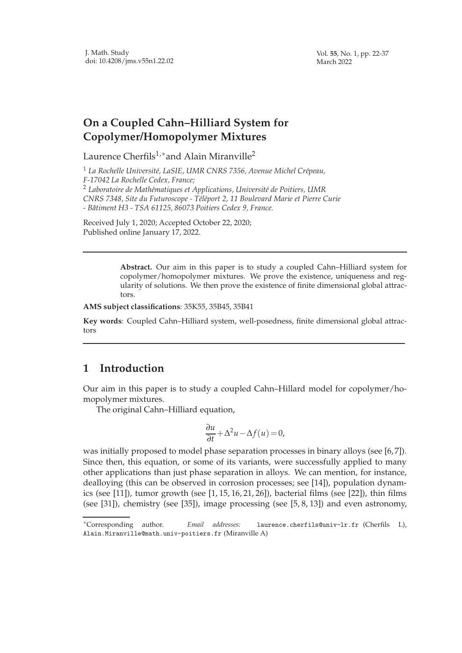Vol. **55**, No. 1, pp. 22-37 March 2022

## **On a Coupled Cahn–Hilliard System for Copolymer/Homopolymer Mixtures**

Laurence Cherfils<sup>1,\*</sup> and Alain Miranville<sup>2</sup>

<sup>1</sup> La Rochelle Université, LaSIE, UMR CNRS 7356, Avenue Michel Crépeau, *F-17042 La Rochelle Cedex, France;* <sup>2</sup> Laboratoire de Mathématiques et Applications, Université de Poitiers, UMR *CNRS 7348, Site du Futuroscope - T´el´eport 2, 11 Boulevard Marie et Pierre Curie - Bˆatiment H3 - TSA 61125, 86073 Poitiers Cedex 9, France.*

Received July 1, 2020; Accepted October 22, 2020; Published online January 17, 2022.

> **Abstract.** Our aim in this paper is to study a coupled Cahn–Hilliard system for copolymer/homopolymer mixtures. We prove the existence, uniqueness and regularity of solutions. We then prove the existence of finite dimensional global attractors.

**AMS subject classifications**: 35K55, 35B45, 35B41

**Key words**: Coupled Cahn–Hilliard system, well-posedness, finite dimensional global attractors

## **1 Introduction**

Our aim in this paper is to study a coupled Cahn–Hillard model for copolymer/homopolymer mixtures.

The original Cahn–Hilliard equation,

$$
\frac{\partial u}{\partial t} + \Delta^2 u - \Delta f(u) = 0,
$$

was initially proposed to model phase separation processes in binary alloys (see [6, 7]). Since then, this equation, or some of its variants, were successfully applied to many other applications than just phase separation in alloys. We can mention, for instance, dealloying (this can be observed in corrosion processes; see [14]), population dynamics (see [11]), tumor growth (see [1, 15, 16, 21, 26]), bacterial films (see [22]), thin films (see [31]), chemistry (see [35]), image processing (see [5, 8, 13]) and even astronomy,

<sup>∗</sup>Corresponding author. *Email addresses:* laurence.cherfils@univ-lr.fr (Cherfils L), Alain.Miranville@math.univ-poitiers.fr (Miranville A)